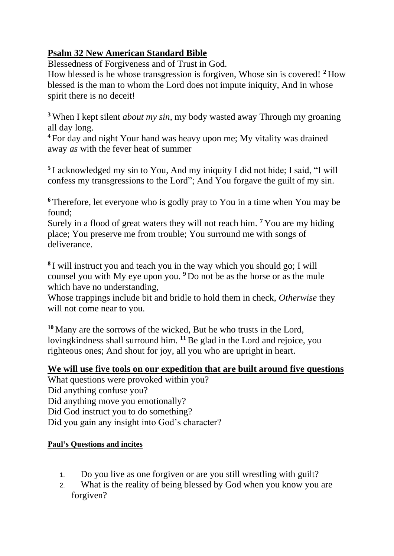## **Psalm 32 New American Standard Bible**

Blessedness of Forgiveness and of Trust in God.

How blessed is he whose transgression is forgiven, Whose sin is covered! **<sup>2</sup>** How blessed is the man to whom the Lord does not impute iniquity, And in whose spirit there is no deceit!

**<sup>3</sup>** When I kept silent *about my sin*, my body wasted away Through my groaning all day long.

**<sup>4</sup>** For day and night Your hand was heavy upon me; My vitality was drained away *as* with the fever heat of summer

**5** I acknowledged my sin to You, And my iniquity I did not hide; I said, "I will confess my transgressions to the Lord"; And You forgave the guilt of my sin.

**<sup>6</sup>** Therefore, let everyone who is godly pray to You in a time when You may be found;

Surely in a flood of great waters they will not reach him. **<sup>7</sup>** You are my hiding place; You preserve me from trouble; You surround me with songs of deliverance.

**8** I will instruct you and teach you in the way which you should go; I will counsel you with My eye upon you. **<sup>9</sup>** Do not be as the horse or as the mule which have no understanding,

Whose trappings include bit and bridle to hold them in check, *Otherwise* they will not come near to you.

**<sup>10</sup>** Many are the sorrows of the wicked, But he who trusts in the Lord, lovingkindness shall surround him. **<sup>11</sup>**Be glad in the Lord and rejoice, you righteous ones; And shout for joy, all you who are upright in heart.

## **We will use five tools on our expedition that are built around five questions**

What questions were provoked within you? Did anything confuse you? Did anything move you emotionally? Did God instruct you to do something? Did you gain any insight into God's character?

## **Paul's Questions and incites**

- 1. Do you live as one forgiven or are you still wrestling with guilt?
- 2. What is the reality of being blessed by God when you know you are forgiven?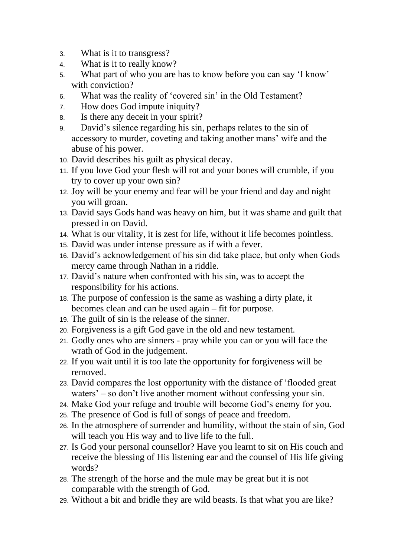- 3. What is it to transgress?
- 4. What is it to really know?
- 5. What part of who you are has to know before you can say 'I know' with conviction?
- 6. What was the reality of 'covered sin' in the Old Testament?
- 7. How does God impute iniquity?
- 8. Is there any deceit in your spirit?
- 9. David's silence regarding his sin, perhaps relates to the sin of accessory to murder, coveting and taking another mans' wife and the abuse of his power.
- 10. David describes his guilt as physical decay.
- 11. If you love God your flesh will rot and your bones will crumble, if you try to cover up your own sin?
- 12. Joy will be your enemy and fear will be your friend and day and night you will groan.
- 13. David says Gods hand was heavy on him, but it was shame and guilt that pressed in on David.
- 14. What is our vitality, it is zest for life, without it life becomes pointless.
- 15. David was under intense pressure as if with a fever.
- 16. David's acknowledgement of his sin did take place, but only when Gods mercy came through Nathan in a riddle.
- 17. David's nature when confronted with his sin, was to accept the responsibility for his actions.
- 18. The purpose of confession is the same as washing a dirty plate, it becomes clean and can be used again – fit for purpose.
- 19. The guilt of sin is the release of the sinner.
- 20. Forgiveness is a gift God gave in the old and new testament.
- 21. Godly ones who are sinners pray while you can or you will face the wrath of God in the judgement.
- 22. If you wait until it is too late the opportunity for forgiveness will be removed.
- 23. David compares the lost opportunity with the distance of 'flooded great waters' – so don't live another moment without confessing your sin.
- 24. Make God your refuge and trouble will become God's enemy for you.
- 25. The presence of God is full of songs of peace and freedom.
- 26. In the atmosphere of surrender and humility, without the stain of sin, God will teach you His way and to live life to the full.
- 27. Is God your personal counsellor? Have you learnt to sit on His couch and receive the blessing of His listening ear and the counsel of His life giving words?
- 28. The strength of the horse and the mule may be great but it is not comparable with the strength of God.
- 29. Without a bit and bridle they are wild beasts. Is that what you are like?